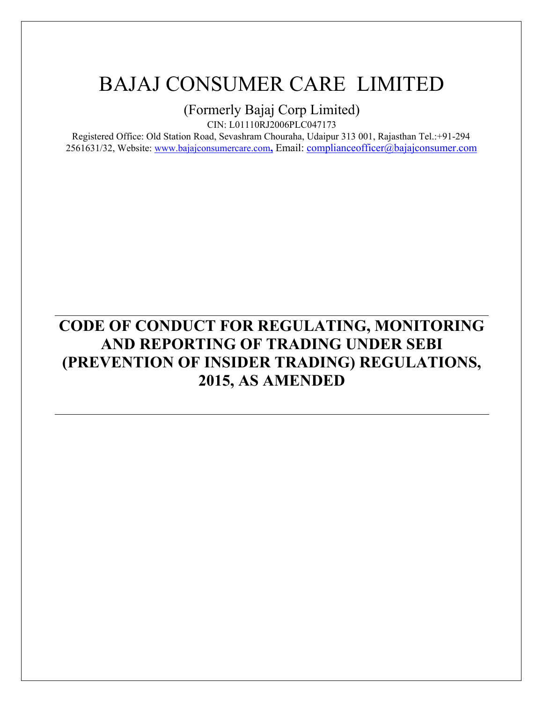(Formerly Bajaj Corp Limited)

CIN: L01110RJ2006PLC047173

Registered Office: Old Station Road, Sevashram Chouraha, Udaipur 313 001, Rajasthan Tel.:+91-294 2561631/32, Website: www.bajajconsumercare.com**,** Email: complianceofficer@bajajconsumer.com

# **CODE OF CONDUCT FOR REGULATING, MONITORING AND REPORTING OF TRADING UNDER SEBI (PREVENTION OF INSIDER TRADING) REGULATIONS, 2015, AS AMENDED**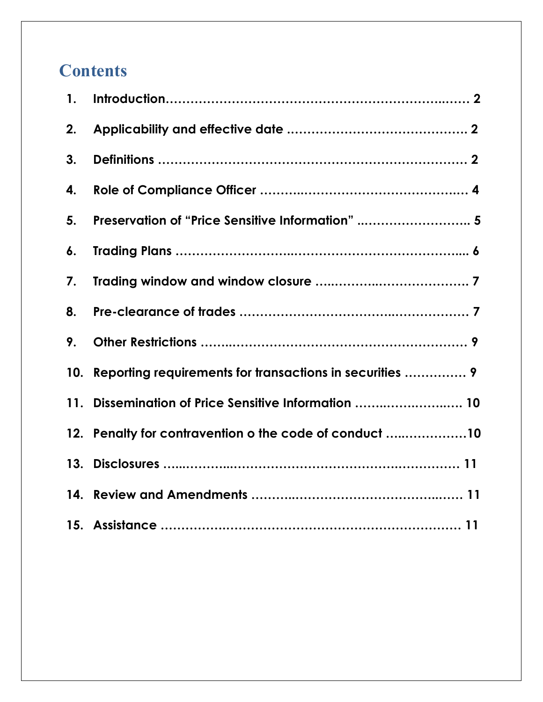# **Contents**

| 1.  |                                                          |
|-----|----------------------------------------------------------|
| 2.  |                                                          |
| 3.  |                                                          |
| 4.  |                                                          |
| 5.  | Preservation of "Price Sensitive Information"  5         |
| 6.  |                                                          |
| 7.  |                                                          |
| 8.  |                                                          |
| 9.  |                                                          |
| 10. | Reporting requirements for transactions in securities  9 |
| 11. | Dissemination of Price Sensitive Information  10         |
|     | 12. Penalty for contravention o the code of conduct 10   |
|     |                                                          |
|     |                                                          |
|     |                                                          |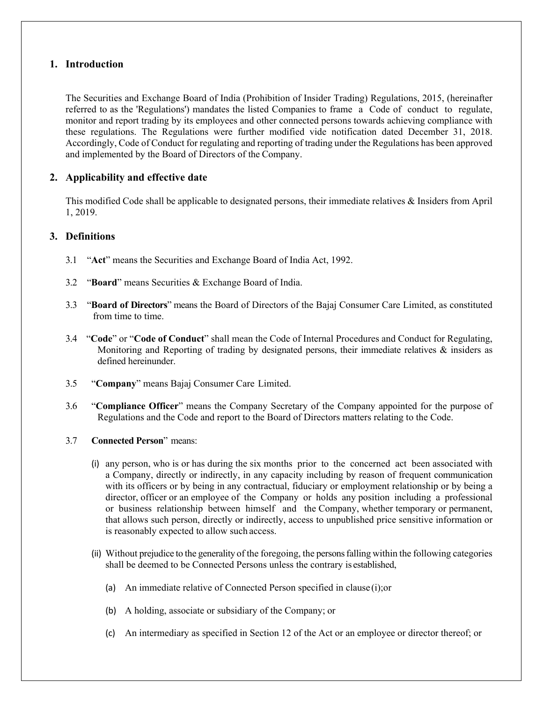### **1. Introduction**

The Securities and Exchange Board of India (Prohibition of Insider Trading) Regulations, 2015, (hereinafter referred to as the 'Regulations') mandates the listed Companies to frame a Code of conduct to regulate, monitor and report trading by its employees and other connected persons towards achieving compliance with these regulations. The Regulations were further modified vide notification dated December 31, 2018. Accordingly, Code of Conduct for regulating and reporting of trading under the Regulations has been approved and implemented by the Board of Directors of the Company.

## **2. Applicability and effective date**

This modified Code shall be applicable to designated persons, their immediate relatives & Insiders from April 1, 2019.

### **3. Definitions**

- 3.1 "**Act**" means the Securities and Exchange Board of India Act, 1992.
- 3.2 "**Board**" means Securities & Exchange Board of India.
- 3.3 "**Board of Directors**" means the Board of Directors of the Bajaj Consumer Care Limited, as constituted from time to time.
- 3.4 "**Code**" or "**Code of Conduct**" shall mean the Code of Internal Procedures and Conduct for Regulating, Monitoring and Reporting of trading by designated persons, their immediate relatives & insiders as defined hereinunder.
- 3.5 "**Company**" means Bajaj Consumer Care Limited.
- 3.6 "**Compliance Officer**" means the Company Secretary of the Company appointed for the purpose of Regulations and the Code and report to the Board of Directors matters relating to the Code.
- 3.7 **Connected Person**" means:
	- (i) any person, who is or has during the six months prior to the concerned act been associated with a Company, directly or indirectly, in any capacity including by reason of frequent communication with its officers or by being in any contractual, fiduciary or employment relationship or by being a director, officer or an employee of the Company or holds any position including a professional or business relationship between himself and the Company, whether temporary or permanent, that allows such person, directly or indirectly, access to unpublished price sensitive information or is reasonably expected to allow such access.
	- (ii) Without prejudice to the generality of the foregoing, the persons falling within the following categories shall be deemed to be Connected Persons unless the contrary is established,
		- (a) An immediate relative of Connected Person specified in clause (i);or
		- (b) A holding, associate or subsidiary of the Company; or
		- (c) An intermediary as specified in Section 12 of the Act or an employee or director thereof; or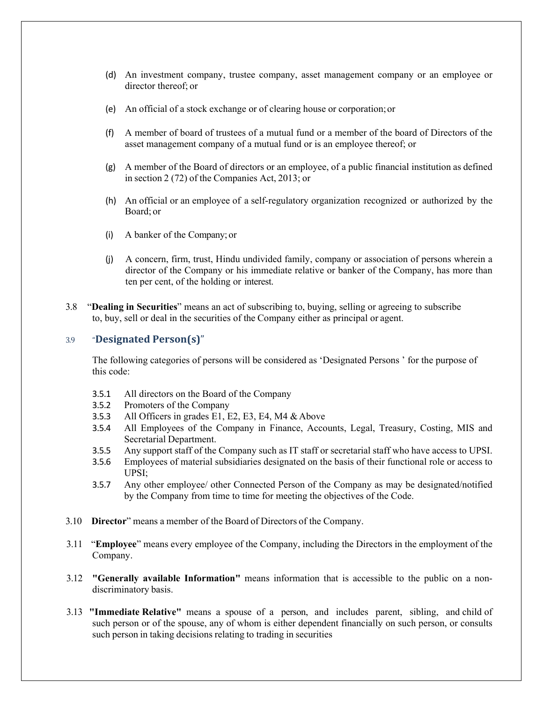- (d) An investment company, trustee company, asset management company or an employee or director thereof; or
- (e) An official of a stock exchange or of clearing house or corporation; or
- (f) A member of board of trustees of a mutual fund or a member of the board of Directors of the asset management company of a mutual fund or is an employee thereof; or
- (g) A member of the Board of directors or an employee, of a public financial institution as defined in section 2 (72) of the Companies Act, 2013; or
- (h) An official or an employee of a self-regulatory organization recognized or authorized by the Board; or
- (i) A banker of the Company; or
- (j) A concern, firm, trust, Hindu undivided family, company or association of persons wherein a director of the Company or his immediate relative or banker of the Company, has more than ten per cent, of the holding or interest.
- 3.8 "**Dealing in Securities**" means an act of subscribing to, buying, selling or agreeing to subscribe to, buy, sell or deal in the securities of the Company either as principal or agent.

#### 3.9 "**Designated Person(s)**"

The following categories of persons will be considered as 'Designated Persons ' for the purpose of this code:

- 3.5.1 All directors on the Board of the Company
- 3.5.2 Promoters of the Company
- 3.5.3 All Officers in grades E1, E2, E3, E4, M4 & Above
- 3.5.4 All Employees of the Company in Finance, Accounts, Legal, Treasury, Costing, MIS and Secretarial Department.
- 3.5.5 Any support staff of the Company such as IT staff or secretarial staff who have access to UPSI.
- 3.5.6 Employees of material subsidiaries designated on the basis of their functional role or access to UPSI;
- 3.5.7 Any other employee/ other Connected Person of the Company as may be designated/notified by the Company from time to time for meeting the objectives of the Code.
- 3.10 **Director**" means a member of the Board of Directors of the Company.
- 3.11 "**Employee**" means every employee of the Company, including the Directors in the employment of the Company.
- 3.12 **"Generally available Information"** means information that is accessible to the public on a nondiscriminatory basis.
- 3.13 **"Immediate Relative"** means a spouse of a person, and includes parent, sibling, and child of such person or of the spouse, any of whom is either dependent financially on such person, or consults such person in taking decisions relating to trading in securities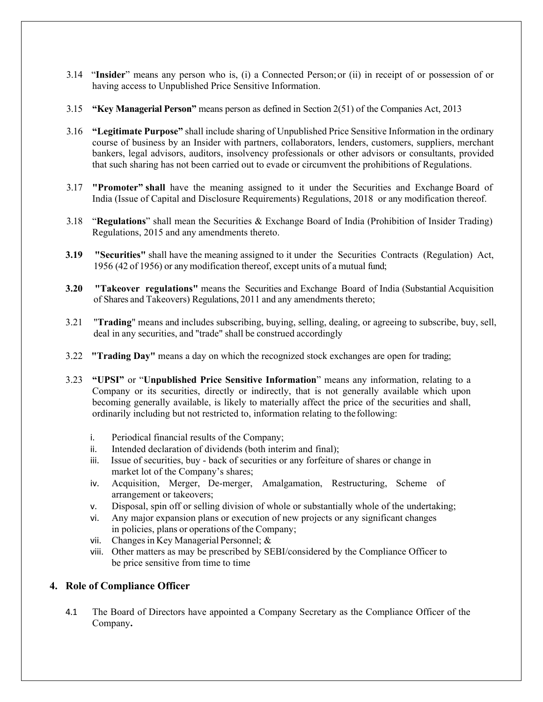- 3.14 "**Insider**" means any person who is, (i) a Connected Person; or (ii) in receipt of or possession of or having access to Unpublished Price Sensitive Information.
- 3.15 **"Key Managerial Person"** means person as defined in Section 2(51) of the Companies Act, 2013
- 3.16 **"Legitimate Purpose"** shall include sharing of Unpublished Price Sensitive Information in the ordinary course of business by an Insider with partners, collaborators, lenders, customers, suppliers, merchant bankers, legal advisors, auditors, insolvency professionals or other advisors or consultants, provided that such sharing has not been carried out to evade or circumvent the prohibitions of Regulations.
- 3.17 **"Promoter" shall** have the meaning assigned to it under the Securities and Exchange Board of India (Issue of Capital and Disclosure Requirements) Regulations, 2018 or any modification thereof.
- 3.18 "**Regulations**" shall mean the Securities & Exchange Board of India (Prohibition of Insider Trading) Regulations, 2015 and any amendments thereto.
- **3.19 "Securities"** shall have the meaning assigned to it under the Securities Contracts (Regulation) Act, 1956 (42 of 1956) or any modification thereof, except units of a mutual fund;
- **3.20 "Takeover regulations"** means the Securities and Exchange Board of India (Substantial Acquisition of Shares and Takeovers) Regulations, 2011 and any amendments thereto;
- 3.21 "**Trading**" means and includes subscribing, buying, selling, dealing, or agreeing to subscribe, buy, sell, deal in any securities, and "trade" shall be construed accordingly
- 3.22 **"Trading Day"** means a day on which the recognized stock exchanges are open for trading;
- 3.23 **"UPSI"** or "**Unpublished Price Sensitive Information**" means any information, relating to a Company or its securities, directly or indirectly, that is not generally available which upon becoming generally available, is likely to materially affect the price of the securities and shall, ordinarily including but not restricted to, information relating to the following:
	- i. Periodical financial results of the Company;
	- ii. Intended declaration of dividends (both interim and final);
	- iii. Issue of securities, buy back of securities or any forfeiture of shares or change in market lot of the Company's shares;
	- iv. Acquisition, Merger, De-merger, Amalgamation, Restructuring, Scheme of arrangement or takeovers;
	- v. Disposal, spin off or selling division of whole or substantially whole of the undertaking;
	- vi. Any major expansion plans or execution of new projects or any significant changes in policies, plans or operations of the Company;
	- vii. Changes in Key Managerial Personnel; &
	- viii. Other matters as may be prescribed by SEBI/considered by the Compliance Officer to be price sensitive from time to time

## **4. Role of Compliance Officer**

4.1 The Board of Directors have appointed a Company Secretary as the Compliance Officer of the Company**.**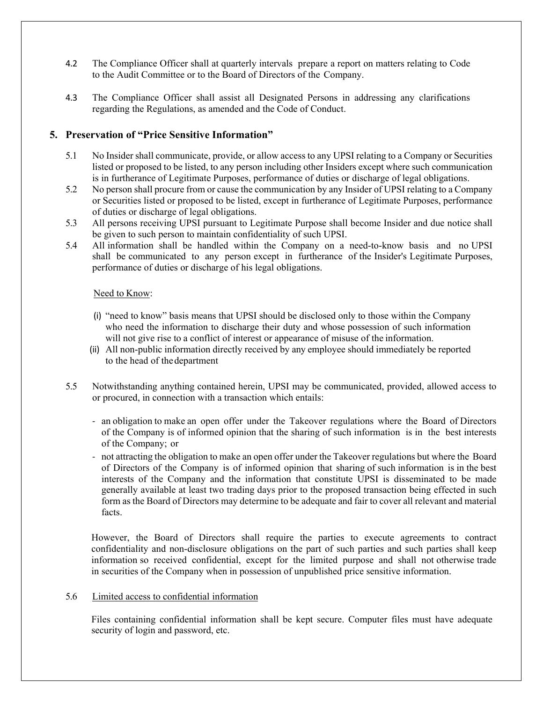- 4.2 The Compliance Officer shall at quarterly intervals prepare a report on matters relating to Code to the Audit Committee or to the Board of Directors of the Company.
- 4.3 The Compliance Officer shall assist all Designated Persons in addressing any clarifications regarding the Regulations, as amended and the Code of Conduct.

#### **5. Preservation of "Price Sensitive Information"**

- 5.1 No Insider shall communicate, provide, or allow access to any UPSI relating to a Company or Securities listed or proposed to be listed, to any person including other Insiders except where such communication is in furtherance of Legitimate Purposes, performance of duties or discharge of legal obligations.
- 5.2 No person shall procure from or cause the communication by any Insider of UPSI relating to a Company or Securities listed or proposed to be listed, except in furtherance of Legitimate Purposes, performance of duties or discharge of legal obligations.
- 5.3 All persons receiving UPSI pursuant to Legitimate Purpose shall become Insider and due notice shall be given to such person to maintain confidentiality of such UPSI.
- 5.4 All information shall be handled within the Company on a need-to-know basis and no UPSI shall be communicated to any person except in furtherance of the Insider's Legitimate Purposes, performance of duties or discharge of his legal obligations.

#### Need to Know:

- (i) "need to know" basis means that UPSI should be disclosed only to those within the Company who need the information to discharge their duty and whose possession of such information will not give rise to a conflict of interest or appearance of misuse of the information.
- (ii) All non-public information directly received by any employee should immediately be reported to the head of the department
- 5.5 Notwithstanding anything contained herein, UPSI may be communicated, provided, allowed access to or procured, in connection with a transaction which entails:
	- ‐ an obligation to make an open offer under the Takeover regulations where the Board of Directors of the Company is of informed opinion that the sharing of such information is in the best interests of the Company; or
	- ‐ not attracting the obligation to make an open offer under the Takeover regulations but where the Board of Directors of the Company is of informed opinion that sharing of such information is in the best interests of the Company and the information that constitute UPSI is disseminated to be made generally available at least two trading days prior to the proposed transaction being effected in such form as the Board of Directors may determine to be adequate and fair to cover all relevant and material facts.

However, the Board of Directors shall require the parties to execute agreements to contract confidentiality and non-disclosure obligations on the part of such parties and such parties shall keep information so received confidential, except for the limited purpose and shall not otherwise trade in securities of the Company when in possession of unpublished price sensitive information.

#### 5.6 Limited access to confidential information

Files containing confidential information shall be kept secure. Computer files must have adequate security of login and password, etc.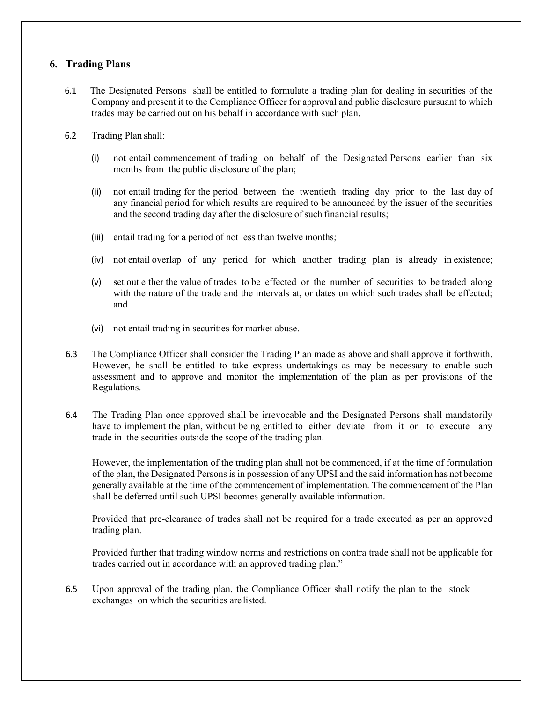### **6. Trading Plans**

- 6.1 The Designated Persons shall be entitled to formulate a trading plan for dealing in securities of the Company and present it to the Compliance Officer for approval and public disclosure pursuant to which trades may be carried out on his behalf in accordance with such plan.
- 6.2 Trading Plan shall:
	- (i) not entail commencement of trading on behalf of the Designated Persons earlier than six months from the public disclosure of the plan;
	- (ii) not entail trading for the period between the twentieth trading day prior to the last day of any financial period for which results are required to be announced by the issuer of the securities and the second trading day after the disclosure of such financial results;
	- (iii) entail trading for a period of not less than twelve months;
	- (iv) not entail overlap of any period for which another trading plan is already in existence;
	- (v) set out either the value of trades to be effected or the number of securities to be traded along with the nature of the trade and the intervals at, or dates on which such trades shall be effected; and
	- (vi) not entail trading in securities for market abuse.
- 6.3 The Compliance Officer shall consider the Trading Plan made as above and shall approve it forthwith. However, he shall be entitled to take express undertakings as may be necessary to enable such assessment and to approve and monitor the implementation of the plan as per provisions of the Regulations.
- 6.4 The Trading Plan once approved shall be irrevocable and the Designated Persons shall mandatorily have to implement the plan, without being entitled to either deviate from it or to execute any trade in the securities outside the scope of the trading plan.

However, the implementation of the trading plan shall not be commenced, if at the time of formulation of the plan, the Designated Persons is in possession of any UPSI and the said information has not become generally available at the time of the commencement of implementation. The commencement of the Plan shall be deferred until such UPSI becomes generally available information.

Provided that pre-clearance of trades shall not be required for a trade executed as per an approved trading plan.

Provided further that trading window norms and restrictions on contra trade shall not be applicable for trades carried out in accordance with an approved trading plan."

6.5 Upon approval of the trading plan, the Compliance Officer shall notify the plan to the stock exchanges on which the securities are listed.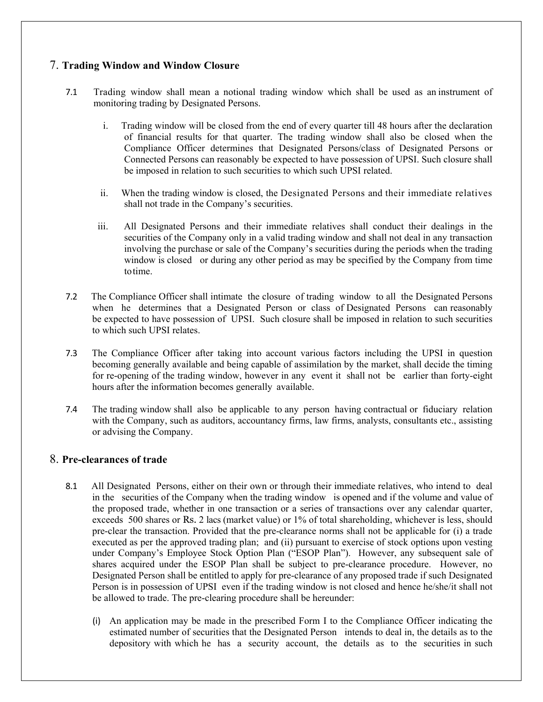## 7. **Trading Window and Window Closure**

- 7.1 Trading window shall mean a notional trading window which shall be used as an instrument of monitoring trading by Designated Persons.
	- i. Trading window will be closed from the end of every quarter till 48 hours after the declaration of financial results for that quarter. The trading window shall also be closed when the Compliance Officer determines that Designated Persons/class of Designated Persons or Connected Persons can reasonably be expected to have possession of UPSI. Such closure shall be imposed in relation to such securities to which such UPSI related.
	- ii. When the trading window is closed, the Designated Persons and their immediate relatives shall not trade in the Company's securities.
	- iii. All Designated Persons and their immediate relatives shall conduct their dealings in the securities of the Company only in a valid trading window and shall not deal in any transaction involving the purchase or sale of the Company's securities during the periods when the trading window is closed or during any other period as may be specified by the Company from time to time.
- 7.2 The Compliance Officer shall intimate the closure of trading window to all the Designated Persons when he determines that a Designated Person or class of Designated Persons can reasonably be expected to have possession of UPSI. Such closure shall be imposed in relation to such securities to which such UPSI relates.
- 7.3 The Compliance Officer after taking into account various factors including the UPSI in question becoming generally available and being capable of assimilation by the market, shall decide the timing for re-opening of the trading window, however in any event it shall not be earlier than forty-eight hours after the information becomes generally available.
- 7.4 The trading window shall also be applicable to any person having contractual or fiduciary relation with the Company, such as auditors, accountancy firms, law firms, analysts, consultants etc., assisting or advising the Company.

### 8. **Pre-clearances of trade**

- 8.1 All Designated Persons, either on their own or through their immediate relatives, who intend to deal in the securities of the Company when the trading window is opened and if the volume and value of the proposed trade, whether in one transaction or a series of transactions over any calendar quarter, exceeds 500 shares or Rs. 2 lacs (market value) or 1% of total shareholding, whichever is less, should pre-clear the transaction. Provided that the pre-clearance norms shall not be applicable for (i) a trade executed as per the approved trading plan; and (ii) pursuant to exercise of stock options upon vesting under Company's Employee Stock Option Plan ("ESOP Plan"). However, any subsequent sale of shares acquired under the ESOP Plan shall be subject to pre-clearance procedure. However, no Designated Person shall be entitled to apply for pre-clearance of any proposed trade if such Designated Person is in possession of UPSI even if the trading window is not closed and hence he/she/it shall not be allowed to trade. The pre-clearing procedure shall be hereunder:
	- (i) An application may be made in the prescribed Form I to the Compliance Officer indicating the estimated number of securities that the Designated Person intends to deal in, the details as to the depository with which he has a security account, the details as to the securities in such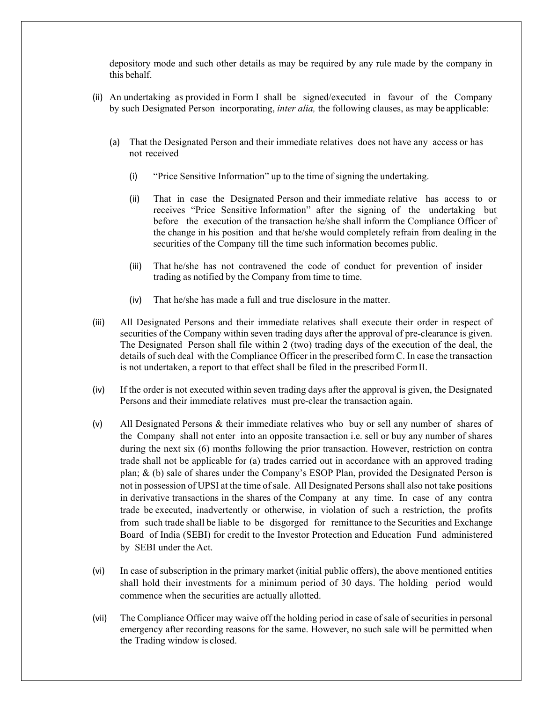depository mode and such other details as may be required by any rule made by the company in this behalf.

- (ii) An undertaking as provided in Form I shall be signed/executed in favour of the Company by such Designated Person incorporating, *inter alia,* the following clauses, as may be applicable:
	- (a) That the Designated Person and their immediate relatives does not have any access or has not received
		- (i) "Price Sensitive Information" up to the time of signing the undertaking.
		- (ii) That in case the Designated Person and their immediate relative has access to or receives "Price Sensitive Information" after the signing of the undertaking but before the execution of the transaction he/she shall inform the Compliance Officer of the change in his position and that he/she would completely refrain from dealing in the securities of the Company till the time such information becomes public.
		- (iii) That he/she has not contravened the code of conduct for prevention of insider trading as notified by the Company from time to time.
		- (iv) That he/she has made a full and true disclosure in the matter.
- (iii) All Designated Persons and their immediate relatives shall execute their order in respect of securities of the Company within seven trading days after the approval of pre-clearance is given. The Designated Person shall file within 2 (two) trading days of the execution of the deal, the details of such deal with the Compliance Officer in the prescribed form C. In case the transaction is not undertaken, a report to that effect shall be filed in the prescribed Form II.
- (iv) If the order is not executed within seven trading days after the approval is given, the Designated Persons and their immediate relatives must pre-clear the transaction again.
- (v) All Designated Persons & their immediate relatives who buy or sell any number of shares of the Company shall not enter into an opposite transaction i.e. sell or buy any number of shares during the next six (6) months following the prior transaction. However, restriction on contra trade shall not be applicable for (a) trades carried out in accordance with an approved trading plan; & (b) sale of shares under the Company's ESOP Plan, provided the Designated Person is not in possession of UPSI at the time of sale. All Designated Persons shall also not take positions in derivative transactions in the shares of the Company at any time. In case of any contra trade be executed, inadvertently or otherwise, in violation of such a restriction, the profits from such trade shall be liable to be disgorged for remittance to the Securities and Exchange Board of India (SEBI) for credit to the Investor Protection and Education Fund administered by SEBI under the Act.
- (vi) In case of subscription in the primary market (initial public offers), the above mentioned entities shall hold their investments for a minimum period of 30 days. The holding period would commence when the securities are actually allotted.
- (vii) The Compliance Officer may waive off the holding period in case of sale of securities in personal emergency after recording reasons for the same. However, no such sale will be permitted when the Trading window is closed.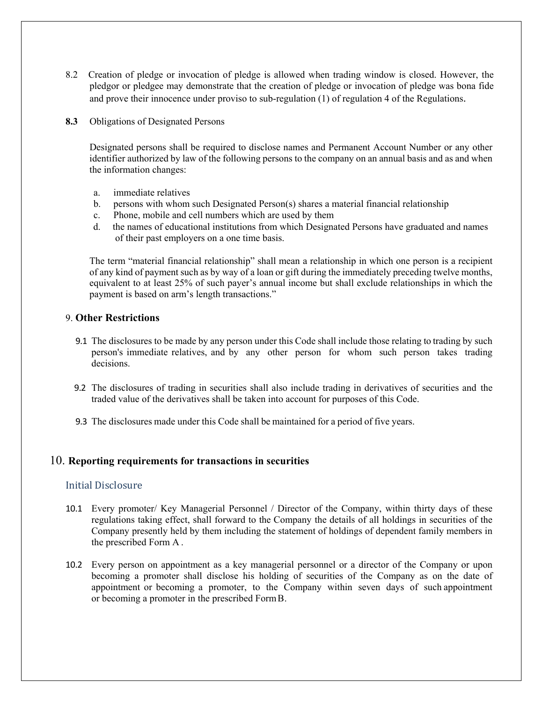- 8.2 Creation of pledge or invocation of pledge is allowed when trading window is closed. However, the pledgor or pledgee may demonstrate that the creation of pledge or invocation of pledge was bona fide and prove their innocence under proviso to sub-regulation (1) of regulation 4 of the Regulations.
- **8.3** Obligations of Designated Persons

 Designated persons shall be required to disclose names and Permanent Account Number or any other identifier authorized by law of the following persons to the company on an annual basis and as and when the information changes:

- a. immediate relatives
- b. persons with whom such Designated Person(s) shares a material financial relationship
- c. Phone, mobile and cell numbers which are used by them
- d. the names of educational institutions from which Designated Persons have graduated and names of their past employers on a one time basis.

 The term "material financial relationship" shall mean a relationship in which one person is a recipient of any kind of payment such as by way of a loan or gift during the immediately preceding twelve months, equivalent to at least 25% of such payer's annual income but shall exclude relationships in which the payment is based on arm's length transactions."

#### 9. **Other Restrictions**

- 9.1 The disclosures to be made by any person under this Code shall include those relating to trading by such person's immediate relatives, and by any other person for whom such person takes trading decisions.
- 9.2 The disclosures of trading in securities shall also include trading in derivatives of securities and the traded value of the derivatives shall be taken into account for purposes of this Code.
- 9.3 The disclosures made under this Code shall be maintained for a period of five years.

#### 10. **Reporting requirements for transactions in securities**

#### Initial Disclosure

- 10.1 Every promoter/ Key Managerial Personnel / Director of the Company, within thirty days of these regulations taking effect, shall forward to the Company the details of all holdings in securities of the Company presently held by them including the statement of holdings of dependent family members in the prescribed Form A .
- 10.2 Every person on appointment as a key managerial personnel or a director of the Company or upon becoming a promoter shall disclose his holding of securities of the Company as on the date of appointment or becoming a promoter, to the Company within seven days of such appointment or becoming a promoter in the prescribed Form B.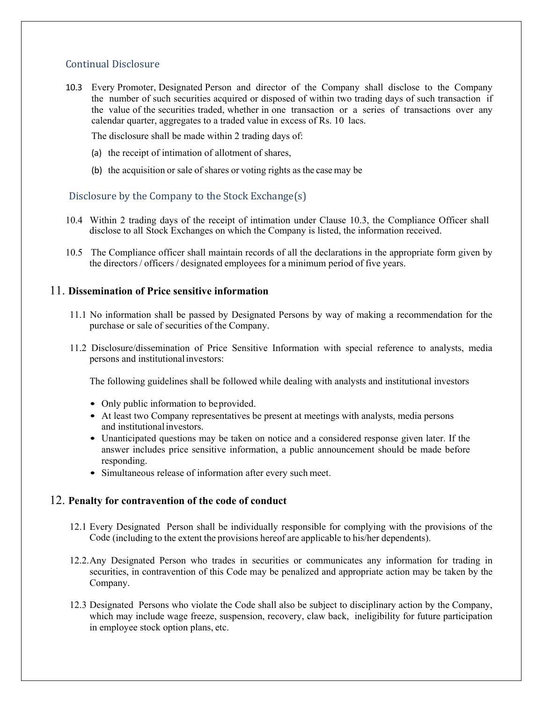## Continual Disclosure

10.3 Every Promoter, Designated Person and director of the Company shall disclose to the Company the number of such securities acquired or disposed of within two trading days of such transaction if the value of the securities traded, whether in one transaction or a series of transactions over any calendar quarter, aggregates to a traded value in excess of Rs. 10 lacs.

The disclosure shall be made within 2 trading days of:

- (a) the receipt of intimation of allotment of shares,
- (b) the acquisition or sale of shares or voting rights as the case may be

## Disclosure by the Company to the Stock Exchange(s)

- 10.4 Within 2 trading days of the receipt of intimation under Clause 10.3, the Compliance Officer shall disclose to all Stock Exchanges on which the Company is listed, the information received.
- 10.5 The Compliance officer shall maintain records of all the declarations in the appropriate form given by the directors / officers / designated employees for a minimum period of five years.

### 11. **Dissemination of Price sensitive information**

- 11.1 No information shall be passed by Designated Persons by way of making a recommendation for the purchase or sale of securities of the Company.
- 11.2 Disclosure/dissemination of Price Sensitive Information with special reference to analysts, media persons and institutional investors:

The following guidelines shall be followed while dealing with analysts and institutional investors

- Only public information to be provided.
- At least two Company representatives be present at meetings with analysts, media persons and institutional investors.
- Unanticipated questions may be taken on notice and a considered response given later. If the answer includes price sensitive information, a public announcement should be made before responding.
- Simultaneous release of information after every such meet.

### 12. **Penalty for contravention of the code of conduct**

- 12.1 Every Designated Person shall be individually responsible for complying with the provisions of the Code (including to the extent the provisions hereof are applicable to his/her dependents).
- 12.2.Any Designated Person who trades in securities or communicates any information for trading in securities, in contravention of this Code may be penalized and appropriate action may be taken by the Company.
- 12.3 Designated Persons who violate the Code shall also be subject to disciplinary action by the Company, which may include wage freeze, suspension, recovery, claw back, ineligibility for future participation in employee stock option plans, etc.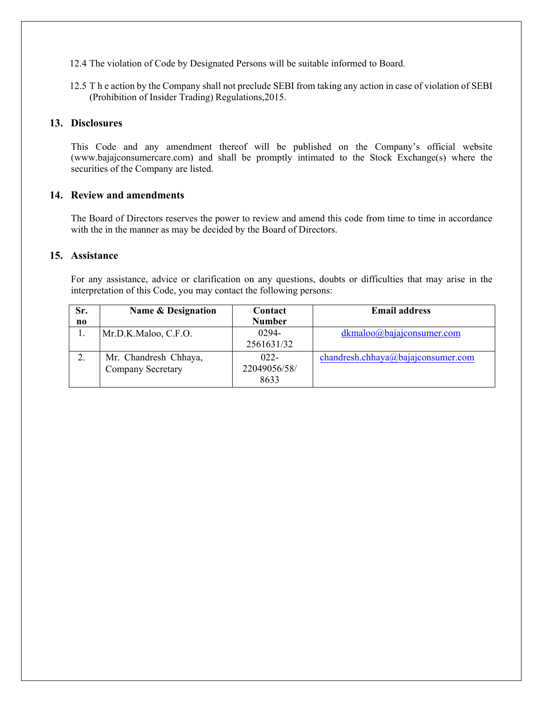12.4 The violation of Code by Designated Persons will be suitable informed to Board.

12.5 T h e action by the Company shall not preclude SEBI from taking any action in case of violation of SEBI (Prohibition of Insider Trading) Regulations,2015.

#### **13. Disclosures**

This Code and any amendment thereof will be published on the Company's official website (www.bajajconsumercare.com) and shall be promptly intimated to the Stock Exchange(s) where the securities of the Company are listed.

#### **14. Review and amendments**

The Board of Directors reserves the power to review and amend this code from time to time in accordance with the in the manner as may be decided by the Board of Directors.

#### **15. Assistance**

For any assistance, advice or clarification on any questions, doubts or difficulties that may arise in the interpretation of this Code, you may contact the following persons:

| Sr. | Name & Designation       | Contact       | <b>Email address</b>               |
|-----|--------------------------|---------------|------------------------------------|
| n0  |                          | <b>Number</b> |                                    |
|     | Mr.D.K.Maloo, C.F.O.     | 0294-         | dkmaloo@bajaiconsumer.com          |
|     |                          | 2561631/32    |                                    |
|     | Mr. Chandresh Chhaya,    | $022 -$       | chandresh.chhaya@bajajconsumer.com |
|     | <b>Company Secretary</b> | 22049056/58/  |                                    |
|     |                          | 8633          |                                    |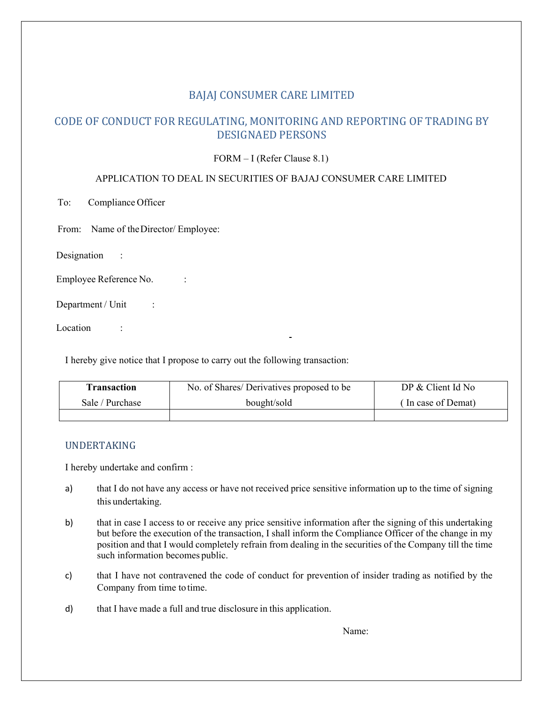## CODE OF CONDUCT FOR REGULATING, MONITORING AND REPORTING OF TRADING BY DESIGNAED PERSONS

FORM – I (Refer Clause 8.1)

#### APPLICATION TO DEAL IN SECURITIES OF BAJAJ CONSUMER CARE LIMITED

To: Compliance Officer

From: Name of the Director/ Employee:

Designation :

Employee Reference No. :

Department / Unit :

Location :

I hereby give notice that I propose to carry out the following transaction:

| <b>Transaction</b> | No. of Shares/Derivatives proposed to be | DP & Client Id No  |
|--------------------|------------------------------------------|--------------------|
| Sale / Purchase    | bought/sold                              | (In case of Demat) |
|                    |                                          |                    |

### UNDERTAKING

I hereby undertake and confirm :

- a) that I do not have any access or have not received price sensitive information up to the time of signing this undertaking.
- b) that in case I access to or receive any price sensitive information after the signing of this undertaking but before the execution of the transaction, I shall inform the Compliance Officer of the change in my position and that I would completely refrain from dealing in the securities of the Company till the time such information becomes public.
- c) that I have not contravened the code of conduct for prevention of insider trading as notified by the Company from time to time.
- d) that I have made a full and true disclosure in this application.

Name: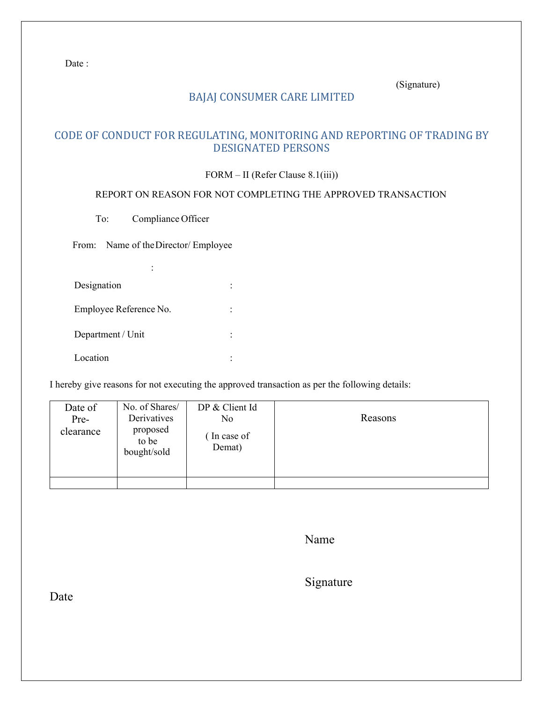Date:

(Signature)

# BAJAJ CONSUMER CARE LIMITED

# CODE OF CONDUCT FOR REGULATING, MONITORING AND REPORTING OF TRADING BY DESIGNATED PERSONS

### FORM – II (Refer Clause 8.1(iii))

#### REPORT ON REASON FOR NOT COMPLETING THE APPROVED TRANSACTION

To: Compliance Officer

From: Name of the Director/ Employee

| Designation            |  |
|------------------------|--|
| Employee Reference No. |  |
| Department / Unit      |  |
| Location               |  |

I hereby give reasons for not executing the approved transaction as per the following details:

| Date of<br>Pre-<br>clearance | No. of Shares/<br>Derivatives<br>proposed<br>to be<br>bought/sold | DP & Client Id<br>N <sub>o</sub><br>(In case of<br>Demat) | Reasons |
|------------------------------|-------------------------------------------------------------------|-----------------------------------------------------------|---------|
|                              |                                                                   |                                                           |         |

Name

Signature

Date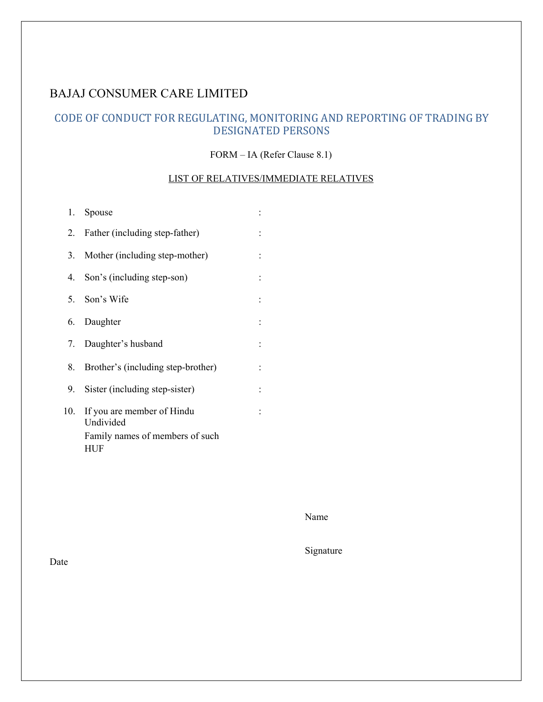# CODE OF CONDUCT FOR REGULATING, MONITORING AND REPORTING OF TRADING BY DESIGNATED PERSONS

#### FORM – IA (Refer Clause 8.1)

## LIST OF RELATIVES/IMMEDIATE RELATIVES

|     | 1. Spouse                               |                      |
|-----|-----------------------------------------|----------------------|
| 2.  | Father (including step-father)          | $\ddot{\phantom{a}}$ |
| 3.  | Mother (including step-mother)          | $\ddot{\cdot}$       |
| 4.  | Son's (including step-son)              | $\ddot{\phantom{a}}$ |
|     | 5. Son's Wife                           | $\ddot{\phantom{a}}$ |
|     | 6. Daughter                             |                      |
|     | 7. Daughter's husband                   | $\ddot{\cdot}$       |
| 8.  | Brother's (including step-brother)      | $\ddot{\cdot}$       |
| 9.  | Sister (including step-sister)          | $\ddot{\phantom{a}}$ |
| 10. | If you are member of Hindu<br>Undivided |                      |
|     | Family names of members of such<br>HUF  |                      |

Name

Signature

Date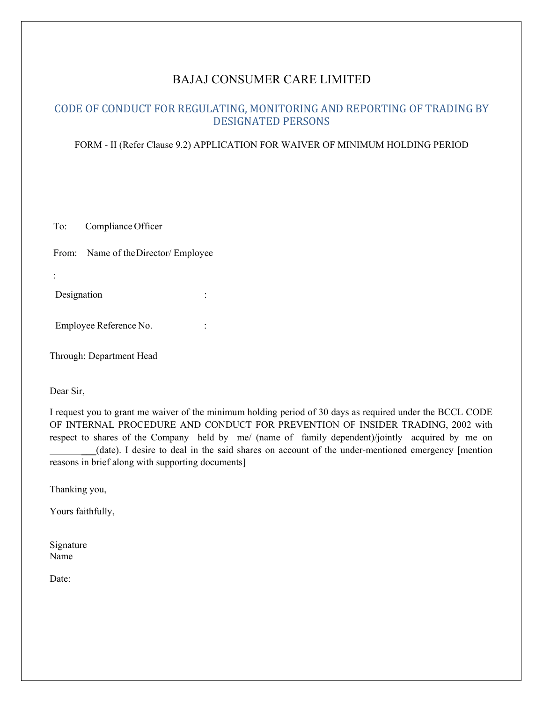## CODE OF CONDUCT FOR REGULATING, MONITORING AND REPORTING OF TRADING BY DESIGNATED PERSONS

#### FORM - II (Refer Clause 9.2) APPLICATION FOR WAIVER OF MINIMUM HOLDING PERIOD

To: Compliance Officer

From: Name of the Director/ Employee

| Designation |  |  |
|-------------|--|--|

Employee Reference No. :

Through: Department Head

Dear Sir,

I request you to grant me waiver of the minimum holding period of 30 days as required under the BCCL CODE OF INTERNAL PROCEDURE AND CONDUCT FOR PREVENTION OF INSIDER TRADING, 2002 with respect to shares of the Company held by me/ (name of family dependent)/jointly acquired by me on \_\_\_(date). I desire to deal in the said shares on account of the under-mentioned emergency [mention reasons in brief along with supporting documents]

Thanking you,

Yours faithfully,

Signature Name

Date: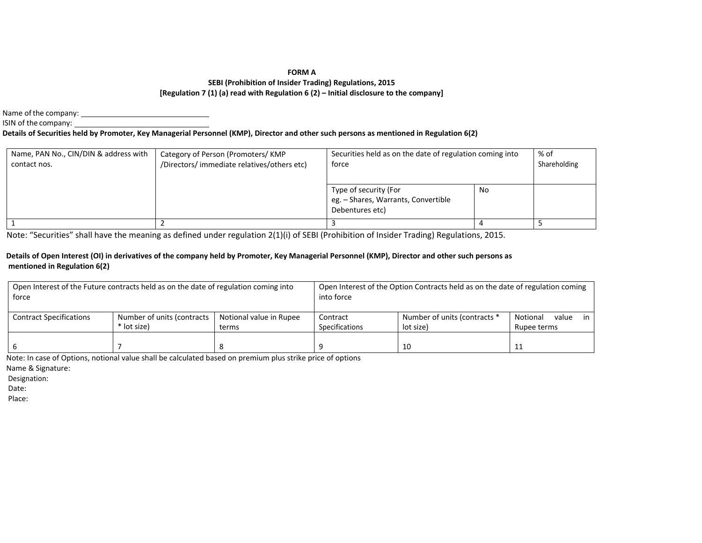#### **FORM A**

#### **SEBI (Prohibition of Insider Trading) Regulations, 2015 [Regulation 7 (1) (a) read with Regulation 6 (2) – Initial disclosure to the company]**

Name of the company:

ISIN of the company:

#### **Details of Securities held by Promoter, Key Managerial Personnel (KMP), Director and other such persons as mentioned in Regulation 6(2)**

| Name, PAN No., CIN/DIN & address with<br>contact nos. | Category of Person (Promoters/KMP<br>/Directors/ immediate relatives/others etc) | Securities held as on the date of regulation coming into<br>force               | % of<br>Shareholding |  |
|-------------------------------------------------------|----------------------------------------------------------------------------------|---------------------------------------------------------------------------------|----------------------|--|
|                                                       |                                                                                  | Type of security (For<br>eg. - Shares, Warrants, Convertible<br>Debentures etc) | No                   |  |
|                                                       |                                                                                  |                                                                                 |                      |  |

Note: "Securities" shall have the meaning as defined under regulation 2(1)(i) of SEBI (Prohibition of Insider Trading) Regulations, 2015.

#### **Details of Open Interest (OI) in derivatives of the company held by Promoter, Key Managerial Personnel (KMP), Director and other such persons as mentioned in Regulation 6(2)**

| Open Interest of the Future contracts held as on the date of regulation coming into<br>force |                                           |                                  | into force                 | Open Interest of the Option Contracts held as on the date of regulation coming |                                     |
|----------------------------------------------------------------------------------------------|-------------------------------------------|----------------------------------|----------------------------|--------------------------------------------------------------------------------|-------------------------------------|
| <b>Contract Specifications</b>                                                               | Number of units (contracts<br>* lot size) | Notional value in Rupee<br>terms | Contract<br>Specifications | Number of units (contracts *<br>lot size)                                      | Notional<br>value in<br>Rupee terms |
|                                                                                              |                                           |                                  |                            | -10                                                                            |                                     |

Note: In case of Options, notional value shall be calculated based on premium plus strike price of options

Name & Signature:

Designation:

Date: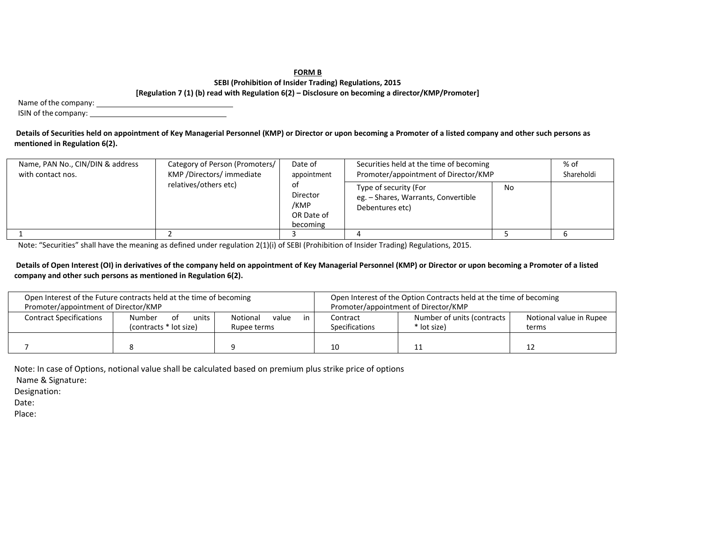#### **FORM B**

#### **SEBI (Prohibition of Insider Trading) Regulations, 2015 [Regulation 7 (1) (b) read with Regulation 6(2) – Disclosure on becoming a director/KMP/Promoter]**

Name of the company:

ISIN of the company:

**Details of Securities held on appointment of Key Managerial Personnel (KMP) or Director or upon becoming a Promoter of a listed company and other such persons as mentioned in Regulation 6(2).** 

| Name, PAN No., CIN/DIN & address<br>with contact nos. | Category of Person (Promoters/<br>KMP / Directors/ immediate | Date of<br>appointment                           | Securities held at the time of becoming<br>Promoter/appointment of Director/KMP |    | % of<br>Shareholdi |
|-------------------------------------------------------|--------------------------------------------------------------|--------------------------------------------------|---------------------------------------------------------------------------------|----|--------------------|
|                                                       | relatives/others etc)                                        | ot<br>Director<br>/KMP<br>OR Date of<br>becoming | Type of security (For<br>eg. - Shares, Warrants, Convertible<br>Debentures etc) | No |                    |
|                                                       |                                                              |                                                  |                                                                                 |    |                    |

Note: "Securities" shall have the meaning as defined under regulation 2(1)(i) of SEBI (Prohibition of Insider Trading) Regulations, 2015.

**Details of Open Interest (OI) in derivatives of the company held on appointment of Key Managerial Personnel (KMP) or Director or upon becoming a Promoter of a listed company and other such persons as mentioned in Regulation 6(2).**

| Promoter/appointment of Director/KMP | Open Interest of the Future contracts held at the time of becoming |                                                   |                            | Open Interest of the Option Contracts held at the time of becoming<br>Promoter/appointment of Director/KMP |  |
|--------------------------------------|--------------------------------------------------------------------|---------------------------------------------------|----------------------------|------------------------------------------------------------------------------------------------------------|--|
| <b>Contract Specifications</b>       | units<br><b>Number</b><br>of<br>(contracts * lot size)             | value<br>Notional<br><sub>in</sub><br>Rupee terms | Contract<br>Specifications | Notional value in Rupee<br>terms                                                                           |  |
|                                      |                                                                    |                                                   |                            |                                                                                                            |  |

Note: In case of Options, notional value shall be calculated based on premium plus strike price of options

Name & Signature:

Designation:

Date: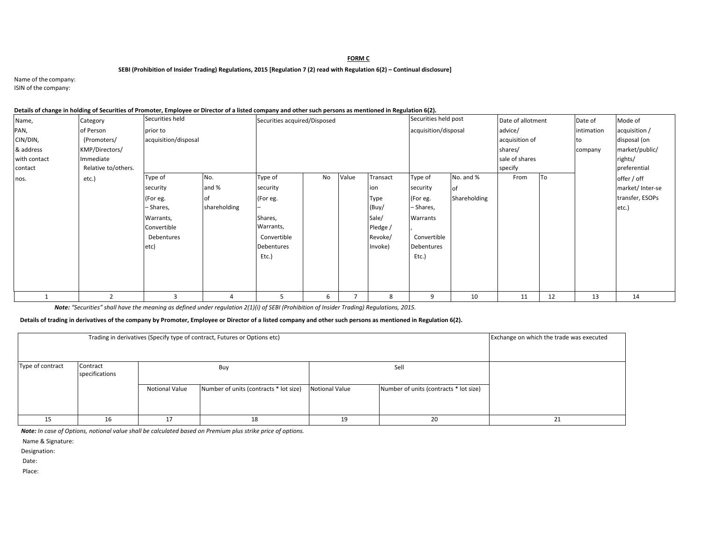#### **FORM C**

#### **SEBI (Prohibition of Insider Trading) Regulations, 2015 [Regulation 7 (2) read with Regulation 6(2) – Continual disclosure]**

Name of the company: ISIN of the company:

| Details of change in holding of Securities of Promoter, Employee or Director of a listed company and other such persons as mentioned in Regulation 6(2). |  |  |
|----------------------------------------------------------------------------------------------------------------------------------------------------------|--|--|
|                                                                                                                                                          |  |  |
|                                                                                                                                                          |  |  |

| Name,        | Category            | Securities held      |                       | Securities acquired/Disposed |    |       | Securities held post |                      | Date of allotment |                | Date of   | Mode of    |                 |
|--------------|---------------------|----------------------|-----------------------|------------------------------|----|-------|----------------------|----------------------|-------------------|----------------|-----------|------------|-----------------|
| PAN,         | of Person           | prior to             |                       |                              |    |       |                      | acquisition/disposal |                   | advice/        |           | intimation | acquisition /   |
| CIN/DIN,     | (Promoters/         | acquisition/disposal |                       |                              |    |       |                      |                      |                   | acquisition of |           | lto        | disposal (on    |
| & address    | KMP/Directors/      |                      |                       |                              |    |       |                      |                      |                   | shares/        |           | company    | market/public/  |
| with contact | Immediate           |                      |                       |                              |    |       |                      |                      |                   | sale of shares |           |            | rights/         |
| contact      | Relative to/others. |                      |                       |                              |    |       |                      |                      |                   | specify        |           |            | preferential    |
| nos.         | etc.)               | Type of              | No.                   | Type of                      | No | Value | Transact             | Type of              | No. and %         | From           | <b>To</b> |            | offer / off     |
|              |                     | security             | and %                 | security                     |    |       | ion                  | security             | lof               |                |           |            | market/Inter-se |
|              |                     | (For eg.             | 0f                    | (For eg.                     |    |       | Type                 | (For eg.             | Shareholding      |                |           |            | transfer, ESOPs |
|              |                     | - Shares,            | shareholding          |                              |    |       | (Buy/                | - Shares,            |                   |                |           |            | etc.)           |
|              |                     | Warrants,            |                       | Shares,                      |    |       | Sale/                | Warrants             |                   |                |           |            |                 |
|              |                     | Convertible          |                       | Warrants,                    |    |       | Pledge /             |                      |                   |                |           |            |                 |
|              |                     | Debentures           |                       | Convertible                  |    |       | Revoke/              | Convertible          |                   |                |           |            |                 |
|              |                     | etc)                 |                       | Debentures                   |    |       | Invoke)              | <b>Debentures</b>    |                   |                |           |            |                 |
|              |                     |                      |                       | Etc.)                        |    |       |                      | Etc.)                |                   |                |           |            |                 |
|              |                     |                      |                       |                              |    |       |                      |                      |                   |                |           |            |                 |
|              |                     |                      |                       |                              |    |       |                      |                      |                   |                |           |            |                 |
|              |                     |                      |                       |                              |    |       |                      |                      |                   |                |           |            |                 |
|              |                     | 3                    | $\boldsymbol{\Delta}$ | ь                            | 6  |       | 8                    | 9                    | 10                | 11             | 12        | 13         | 14              |

*Note: "Securities" shall have the meaning as defined under regulation 2(1)(i) of SEBI (Prohibition of Insider Trading) Regulations, 2015.* 

**Details of trading in derivatives of the company by Promoter, Employee or Director of a listed company and other such persons as mentioned in Regulation 6(2).** 

|                  | Exchange on which the trade was executed |                       |                                        |                       |                                        |    |
|------------------|------------------------------------------|-----------------------|----------------------------------------|-----------------------|----------------------------------------|----|
| Type of contract | Contract<br>specifications               |                       | Buy                                    |                       | Sell                                   |    |
|                  |                                          | <b>Notional Value</b> | Number of units (contracts * lot size) | <b>Notional Value</b> | Number of units (contracts * lot size) |    |
|                  | 16                                       | 17                    | 18                                     | 19                    | 20                                     | 21 |

*Note: In case of Options, notional value shall be calculated based on Premium plus strike price of options.* 

Name & Signature:

Designation:

Date: